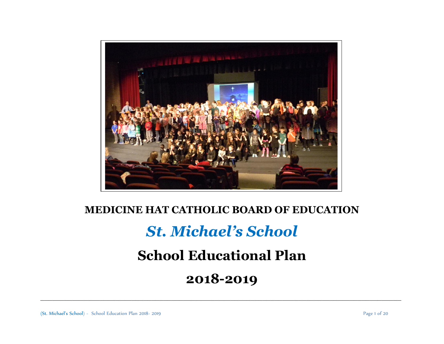

# **MEDICINE HAT CATHOLIC BOARD OF EDUCATION**

# *St. Michael's School*

# **School Educational Plan**

# **2018-2019**

 $\_$  , and the set of the set of the set of the set of the set of the set of the set of the set of the set of the set of the set of the set of the set of the set of the set of the set of the set of the set of the set of th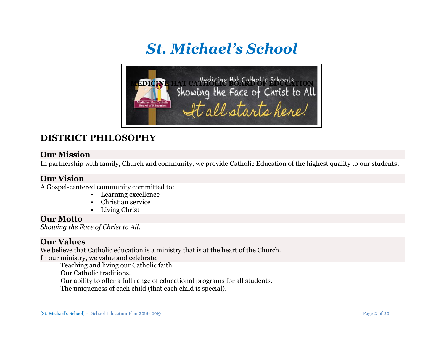# *St. Michael's School*



# **DISTRICT PHILOSOPHY**

#### **Our Mission**

In partnership with family, Church and community, we provide Catholic Education of the highest quality to our students.

#### **Our Vision**

A Gospel-centered community committed to:

- Learning excellence
- Christian service
- Living Christ

#### **Our Motto**

*Showing the Face of Christ to All.*

#### **Our Values**

We believe that Catholic education is a ministry that is at the heart of the Church. In our ministry, we value and celebrate:

Teaching and living our Catholic faith. Our Catholic traditions. Our ability to offer a full range of educational programs for all students. The uniqueness of each child (that each child is special).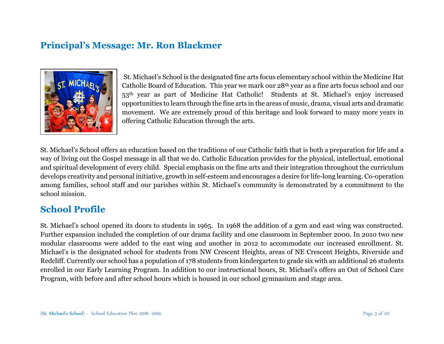## **Principal's Message: Mr. Ron Blackmer**



St. Michael's School is the designated fine arts focus elementary school within the Medicine Hat Catholic Board of Education. This year we mark our 28th year as a fine arts focus school and our 53th year as part of Medicine Hat Catholic! Students at St. Michael's enjoy increased opportunities to learn through the fine arts in the areas of music, drama, visual arts and dramatic movement. We are extremely proud of this heritage and look forward to many more years in offering Catholic Education through the arts.

St. Michael's School offers an education based on the traditions of our Catholic faith that is both a preparation for life and a way of living out the Gospel message in all that we do. Catholic Education provides for the physical, intellectual, emotional and spiritual development of every child. Special emphasis on the fine arts and their integration throughout the curriculum develops creativity and personal initiative, growth in self-esteem and encourages a desire for life-long learning. Co-operation among families, school staff and our parishes within St. Michael's community is demonstrated by a commitment to the school mission.

## **School Profile**

St. Michael's school opened its doors to students in 1965. In 1968 the addition of a gym and east wing was constructed. Further expansion included the completion of our drama facility and one classroom in September 2000. In 2010 two new modular classrooms were added to the east wing and another in 2012 to accommodate our increased enrollment. St. Michael's is the designated school for students from NW Crescent Heights, areas of NE Crescent Heights, Riverside and Redcliff. Currently our school has a population of 178 students from kindergarten to grade six with an additional 26 students enrolled in our Early Learning Program. In addition to our instructional hours, St. Michael's offers an Out of School Care Program, with before and after school hours which is housed in our school gymnasium and stage area.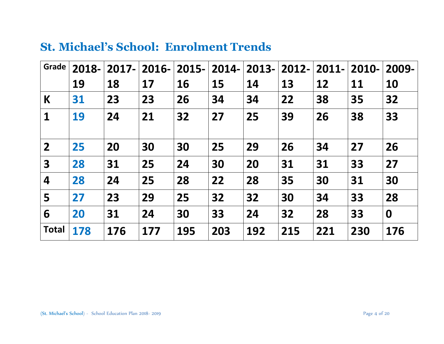| Grade                   | 2018- | $2017 -$ | $2016 -$ | $2015 -$  | 2014- | $2013 -$ | $2012 -$ | $2011 -$  | 2010- | 2009-     |
|-------------------------|-------|----------|----------|-----------|-------|----------|----------|-----------|-------|-----------|
|                         | 19    | 18       | 17       | <b>16</b> | 15    | 14       | 13       | <b>12</b> | 11    | <b>10</b> |
| K                       | 31    | 23       | 23       | 26        | 34    | 34       | 22       | 38        | 35    | 32        |
| $\mathbf 1$             | 19    | 24       | 21       | 32        | 27    | 25       | 39       | 26        | 38    | 33        |
| $\overline{2}$          | 25    | 20       | 30       | 30        | 25    | 29       | 26       | 34        | 27    | 26        |
| $\overline{\mathbf{3}}$ | 28    | 31       | 25       | 24        | 30    | 20       | 31       | 31        | 33    | 27        |
| 4                       | 28    | 24       | 25       | 28        | 22    | 28       | 35       | 30        | 31    | 30        |
| 5                       | 27    | 23       | 29       | 25        | 32    | 32       | 30       | 34        | 33    | 28        |
| 6                       | 20    | 31       | 24       | 30        | 33    | 24       | 32       | 28        | 33    | $\bf{0}$  |
| <b>Total</b>            | 178   | 176      | 177      | 195       | 203   | 192      | 215      | 221       | 230   | 176       |

# **St. Michael's School: Enrolment Trends**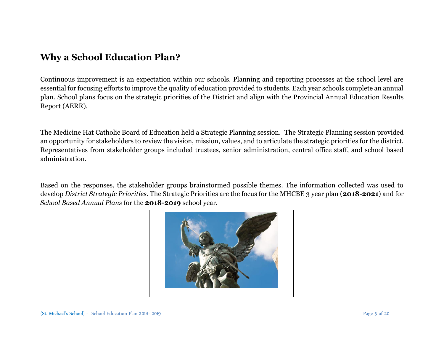## **Why a School Education Plan?**

Continuous improvement is an expectation within our schools. Planning and reporting processes at the school level are essential for focusing efforts to improve the quality of education provided to students. Each year schools complete an annual plan. School plans focus on the strategic priorities of the District and align with the Provincial Annual Education Results Report (AERR).

The Medicine Hat Catholic Board of Education held a Strategic Planning session. The Strategic Planning session provided an opportunity for stakeholders to review the vision, mission, values, and to articulate the strategic priorities for the district. Representatives from stakeholder groups included trustees, senior administration, central office staff, and school based administration.

Based on the responses, the stakeholder groups brainstormed possible themes. The information collected was used to develop *District Strategic Priorities*. The Strategic Priorities are the focus for the MHCBE 3 year plan (**2018-2021**) and for *School Based Annual Plans* for the **2018-2019** school year.

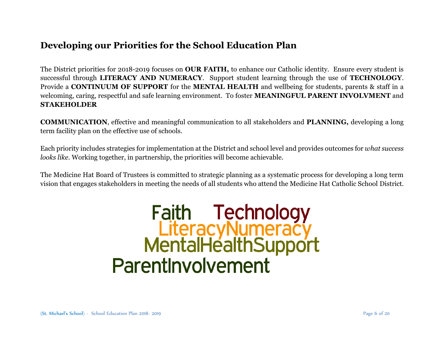## **Developing our Priorities for the School Education Plan**

The District priorities for 2018-2019 focuses on **OUR FAITH,** to enhance our Catholic identity. Ensure every student is successful through **LITERACY AND NUMERACY**. Support student learning through the use of **TECHNOLOGY**. Provide a **CONTINUUM OF SUPPORT** for the **MENTAL HEALTH** and wellbeing for students, parents & staff in a welcoming, caring, respectful and safe learning environment. To foster **MEANINGFUL PARENT INVOLVMENT** and **STAKEHOLDER** 

**COMMUNICATION**, effective and meaningful communication to all stakeholders and **PLANNING,** developing a long term facility plan on the effective use of schools.

Each priority includes strategies for implementation at the District and school level and provides outcomes for *what success looks like.* Working together, in partnership, the priorities will become achievable.

The Medicine Hat Board of Trustees is committed to strategic planning as a systematic process for developing a long term vision that engages stakeholders in meeting the needs of all students who attend the Medicine Hat Catholic School District.

# Faith Technology<br>LiteracyNumeracy<br>MentalHealthSupport Parentlnvolvement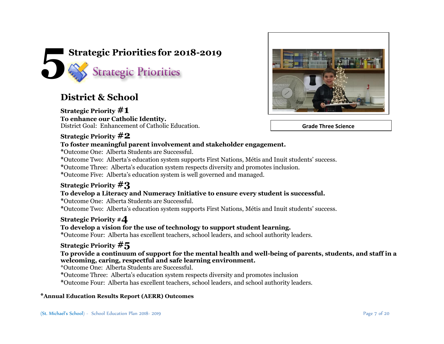

## **District & School**

**Strategic Priority #1 To enhance our Catholic Identity.** District Goal: Enhancement of Catholic Education.



 **Grade Three Science** 

#### **Strategic Priority #2**

#### **To foster meaningful parent involvement and stakeholder engagement.**

**\***Outcome One: Alberta Students are Successful.

**\***Outcome Two: Alberta's education system supports First Nations, Métis and Inuit students' success.

**\***Outcome Three: Alberta's education system respects diversity and promotes inclusion.

**\***Outcome Five: Alberta's education system is well governed and managed.

#### **Strategic Priority #3**

#### **To develop a Literacy and Numeracy Initiative to ensure every student is successful.**

**\***Outcome One: Alberta Students are Successful.

**\***Outcome Two: Alberta's education system supports First Nations, Métis and Inuit students' success.

#### **Strategic Priority #4**

#### **To develop a vision for the use of technology to support student learning.**

**\***Outcome Four: Alberta has excellent teachers, school leaders, and school authority leaders.

#### **Strategic Priority #5**

#### **To provide a continuum of support for the mental health and well-being of parents, students, and staff in a welcoming, caring, respectful and safe learning environment.**

\*Outcome One: Alberta Students are Successful.

**\***Outcome Three: Alberta's education system respects diversity and promotes inclusion

**\***Outcome Four: Alberta has excellent teachers, school leaders, and school authority leaders.

#### **\*Annual Education Results Report (AERR) Outcomes**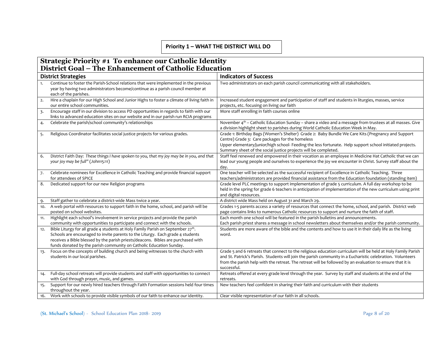#### **Priority 1 – WHAT THE DISTRICT WILL DO**

#### **Strategic Priority #1 To enhance our Catholic Identity District Goal – The Enhancement of Catholic Education**

|     |                                                                                                                                 | <b>Indicators of Success</b>                                                                                                                                                                                       |
|-----|---------------------------------------------------------------------------------------------------------------------------------|--------------------------------------------------------------------------------------------------------------------------------------------------------------------------------------------------------------------|
|     | <b>District Strategies</b>                                                                                                      |                                                                                                                                                                                                                    |
| 1.  | Continue to foster the Parish-School relations that were implemented in the previous                                            | Two administrators on each parish council communicating with all stakeholders.                                                                                                                                     |
|     | year by having two administrators become/continue as a parish council member at                                                 |                                                                                                                                                                                                                    |
|     | each of the parishes.                                                                                                           |                                                                                                                                                                                                                    |
| 2.  | Hire a chaplain for our High School and Junior Highs to foster a climate of living faith in                                     | Increased student engagement and participation of staff and students in liturgies, masses, service                                                                                                                 |
|     | our entire school communities.                                                                                                  | projects, etc. focusing on living our faith                                                                                                                                                                        |
| 3.  | Encourage staff in our division to access PD opportunities in regards to faith with our                                         | More staff enrolling in faith courses online                                                                                                                                                                       |
|     | links to advanced education sites on our website and in our parish run RCIA programs                                            |                                                                                                                                                                                                                    |
| 4.  | Celebrate the parish/school community's relationships                                                                           | November 4 <sup>th</sup> – Catholic Education Sunday – share a video and a message from trustees at all masses. Give                                                                                               |
|     |                                                                                                                                 | a division highlight sheet to parishes during World Catholic Education Week in May.                                                                                                                                |
| 5.  | Religious Coordinator facilitates social justice projects for various grades.                                                   | Grade 1: Birthday Bags (Women's Shelter) Grade 2: Baby Bundle We Care Kits (Pregnancy and Support                                                                                                                  |
|     |                                                                                                                                 | Centre) Grade 3: Care packages for the homeless                                                                                                                                                                    |
|     |                                                                                                                                 | Upper elementary/junior/high school- Feeding the less fortunate. Help support school initiated projects.                                                                                                           |
|     |                                                                                                                                 | Summary sheet of the social justice projects will be completed.                                                                                                                                                    |
| 6.  | District Faith Day: These things I have spoken to you, that my joy may be in you, and that<br>your joy may be full" (John15:11) | Staff feel renewed and empowered in their vocation as an employee in Medicine Hat Catholic that we can<br>lead our young people and ourselves to experience the joy we encounter in Christ. Survey staff about the |
|     |                                                                                                                                 | day.                                                                                                                                                                                                               |
| 7.  | Celebrate nominees for Excellence in Catholic Teaching and provide financial support                                            | One teacher will be selected as the successful recipient of Excellence in Catholic Teaching. Three                                                                                                                 |
|     | for attendees of SPICE                                                                                                          | teachers/administrators are provided financial assistance from the Education foundation (standing item)                                                                                                            |
| 8.  | Dedicated support for our new Religion programs                                                                                 | Grade level PLC meetings to support implementation of grade 5 curriculum. A full day workshop to be                                                                                                                |
|     |                                                                                                                                 | held in the spring for grade 6 teachers in anticipation of implementation of the new curriculum using print                                                                                                        |
|     |                                                                                                                                 | and digital resources.                                                                                                                                                                                             |
|     | Staff gather to celebrate a district-wide Mass twice a year.                                                                    | A district wide Mass held on August 31 and March 29.                                                                                                                                                               |
| 10. | A web portal with resources to support faith in the home, school, and parish will be                                            | Grades 1-5 parents access a variety of resources that connect the home, school, and parish. District web                                                                                                           |
|     | posted on school websites.                                                                                                      | page contains links to numerous Catholic resources to support and nurture the faith of staff.                                                                                                                      |
| 11. | Highlight each school's involvement in service projects and provide the parish                                                  | Each month one school will be featured in the parish bulletins and announcements.                                                                                                                                  |
|     | community with opportunities to participate and connect with the schools.                                                       | Each parish priest shares a message in school newsletters about themselves and/or the parish community.                                                                                                            |
| 12. | Bible Liturgy for all grade 4 students at Holy Family Parish on September 27th.                                                 | Students are more aware of the bible and the contents and how to use it in their daily life as the living                                                                                                          |
|     | Schools are encouraged to invite parents to the Liturgy. Each grade 4 students                                                  | word.                                                                                                                                                                                                              |
|     | receives a Bible blessed by the parish priests/deacons. Bibles are purchased with                                               |                                                                                                                                                                                                                    |
|     | funds donated by the parish community on Catholic Education Sunday.                                                             |                                                                                                                                                                                                                    |
| 13. | Focus on the concepts of building church and being witnesses to the church with                                                 | Grade 5 and 6 retreats that connect to the religious education curriculum will be held at Holy Family Parish                                                                                                       |
|     | students in our local parishes.                                                                                                 | and St. Patrick's Parish. Students will join the parish community in a Eucharistic celebration. Volunteers                                                                                                         |
|     |                                                                                                                                 | from the parish help with the retreat. The retreat will be followed by an evaluation to ensure that it is                                                                                                          |
|     |                                                                                                                                 | successful.                                                                                                                                                                                                        |
| 14. | Full-day school retreats will provide students and staff with opportunities to connect                                          | Retreats offered at every grade level through the year. Survey by staff and students at the end of the                                                                                                             |
|     | with God through prayer, music, and games.                                                                                      | retreats.                                                                                                                                                                                                          |
| 15. | Support for our newly hired teachers through Faith Formation sessions held four times                                           | New teachers feel confident in sharing their faith and curriculum with their students                                                                                                                              |
|     | throughout the year.                                                                                                            |                                                                                                                                                                                                                    |
| 16. | Work with schools to provide visible symbols of our faith to enhance our identity.                                              | Clear visible representation of our faith in all schools.                                                                                                                                                          |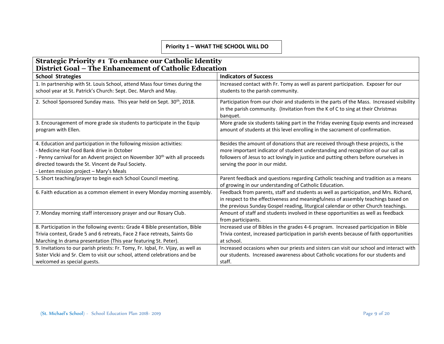#### **Priority 1 – WHAT THE SCHOOL WILL DO**

#### **Strategic Priority #1 To enhance our Catholic Identity District Goal – The Enhancement of Catholic Education**

| <b>School Strategies</b>                                                                                         | <b>Indicators of Success</b>                                                                                                                                                                                                                                     |
|------------------------------------------------------------------------------------------------------------------|------------------------------------------------------------------------------------------------------------------------------------------------------------------------------------------------------------------------------------------------------------------|
| 1. In partnership with St. Louis School, attend Mass four times during the                                       | Increased contact with Fr. Tomy as well as parent participation. Exposer for our                                                                                                                                                                                 |
| school year at St. Patrick's Church: Sept. Dec. March and May.                                                   | students to the parish community.                                                                                                                                                                                                                                |
| 2. School Sponsored Sunday mass. This year held on Sept. 30 <sup>th</sup> , 2018.                                | Participation from our choir and students in the parts of the Mass. Increased visibility<br>in the parish community. (Invitation from the K of C to sing at their Christmas<br>banquet.                                                                          |
| 3. Encouragement of more grade six students to participate in the Equip<br>program with Ellen.                   | More grade six students taking part in the Friday evening Equip events and increased<br>amount of students at this level enrolling in the sacrament of confirmation.                                                                                             |
| 4. Education and participation in the following mission activities:<br>- Medicine Hat Food Bank drive in October | Besides the amount of donations that are received through these projects, is the<br>more important indicator of student understanding and recognition of our call as                                                                                             |
| - Penny carnival for an Advent project on November 30 <sup>th</sup> with all proceeds                            | followers of Jesus to act lovingly in justice and putting others before ourselves in                                                                                                                                                                             |
| directed towards the St. Vincent de Paul Society.                                                                | serving the poor in our midst.                                                                                                                                                                                                                                   |
| - Lenten mission project - Mary's Meals                                                                          |                                                                                                                                                                                                                                                                  |
| 5. Short teaching/prayer to begin each School Council meeting.                                                   | Parent feedback and questions regarding Catholic teaching and tradition as a means<br>of growing in our understanding of Catholic Education.                                                                                                                     |
| 6. Faith education as a common element in every Monday morning assembly.                                         | Feedback from parents, staff and students as well as participation, and Mrs. Richard,<br>in respect to the effectiveness and meaningfulness of assembly teachings based on<br>the previous Sunday Gospel reading, liturgical calendar or other Church teachings. |
| 7. Monday morning staff intercessory prayer and our Rosary Club.                                                 | Amount of staff and students involved in these opportunities as well as feedback<br>from participants.                                                                                                                                                           |
| 8. Participation in the following events: Grade 4 Bible presentation, Bible                                      | Increased use of Bibles in the grades 4-6 program. Increased participation in Bible                                                                                                                                                                              |
| Trivia contest, Grade 5 and 6 retreats, Face 2 Face retreats, Saints Go                                          | Trivia contest, increased participation in parish events because of faith opportunities                                                                                                                                                                          |
| Marching In drama presentation (This year featuring St. Peter).                                                  | at school.                                                                                                                                                                                                                                                       |
| 9. Invitations to our parish priests: Fr. Tomy, Fr. Iqbal, Fr. Vijay, as well as                                 | Increased occasions when our priests and sisters can visit our school and interact with                                                                                                                                                                          |
| Sister Vicki and Sr. Clem to visit our school, attend celebrations and be                                        | our students. Increased awareness about Catholic vocations for our students and                                                                                                                                                                                  |
| welcomed as special guests.                                                                                      | staff.                                                                                                                                                                                                                                                           |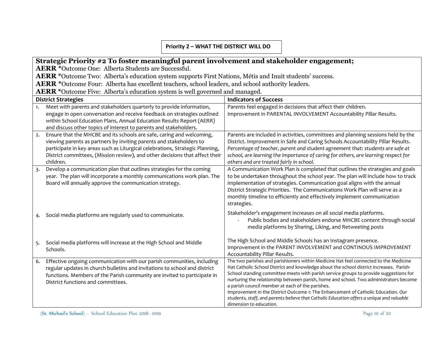#### **Priority 2 – WHAT THE DISTRICT WILL DO**

#### **Strategic Priority #2 To foster meaningful parent involvement and stakeholder engagement;**

**AERR \***Outcome One: Alberta Students are Successful.

**AERR \***Outcome Two: Alberta's education system supports First Nations, Métis and Inuit students' success.

AERR \*Outcome Four: Alberta has excellent teachers, school leaders, and school authority leaders.

**AERR \***Outcome Five: Alberta's education system is well governed and managed.

|    | <b>District Strategies</b>                                                                                                                                                                                                                                                                                                 | <b>Indicators of Success</b>                                                                                                                                                                                                                                                                                                                                                                                                                                                                                                                                                                                                       |
|----|----------------------------------------------------------------------------------------------------------------------------------------------------------------------------------------------------------------------------------------------------------------------------------------------------------------------------|------------------------------------------------------------------------------------------------------------------------------------------------------------------------------------------------------------------------------------------------------------------------------------------------------------------------------------------------------------------------------------------------------------------------------------------------------------------------------------------------------------------------------------------------------------------------------------------------------------------------------------|
| 1. | Meet with parents and stakeholders quarterly to provide information,<br>engage in open conversation and receive feedback on strategies outlined<br>within School Education Plans, Annual Education Results Report (AERR)<br>and discuss other topics of interest to parents and stakeholders.                              | Parents feel engaged in decisions that affect their children.<br>Improvement in PARENTAL INVOLVEMENT Accountability Pillar Results.                                                                                                                                                                                                                                                                                                                                                                                                                                                                                                |
| 2. | Ensure that the MHCBE and its schools are safe, caring and welcoming,<br>viewing parents as partners by inviting parents and stakeholders to<br>participate in key areas such as Liturgical celebrations, Strategic Planning,<br>District committees, (Mission review), and other decisions that affect their<br>children. | Parents are included in activities, committees and planning sessions held by the<br>District. Improvement in Safe and Caring Schools Accountability Pillar Results.<br>Percentage of teacher, parent and student agreement that: students are safe at<br>school, are learning the importance of caring for others, are learning respect for<br>others and are treated fairly in school.                                                                                                                                                                                                                                            |
| 3. | Develop a communication plan that outlines strategies for the coming<br>year. The plan will incorporate a monthly communications work plan. The<br>Board will annually approve the communication strategy.                                                                                                                 | A Communication Work Plan is completed that outlines the strategies and goals<br>to be undertaken throughout the school year. The plan will include how to track<br>implementation of strategies. Communication goal aligns with the annual<br>District Strategic Priorities. The Communications Work Plan will serve as a<br>monthly timeline to efficiently and effectively implement communication<br>strategies.                                                                                                                                                                                                               |
|    | Social media platforms are regularly used to communicate.                                                                                                                                                                                                                                                                  | Stakeholder's engagement increases on all social media platforms.<br>Public bodies and stakeholders endorse MHCBE content through social<br>media platforms by Sharing, Liking, and Retweeting posts                                                                                                                                                                                                                                                                                                                                                                                                                               |
|    | Social media platforms will increase at the High School and Middle<br>Schools.                                                                                                                                                                                                                                             | The High School and Middle Schools has an Instagram presence.<br>Improvement in the PARENT INVOLVEMENT and CONTINOUS IMPROVEMENT<br>Accountability Pillar Results.                                                                                                                                                                                                                                                                                                                                                                                                                                                                 |
| 6. | Effective ongoing communication with our parish communities, including<br>regular updates in church bulletins and invitations to school and district<br>functions. Members of the Parish community are invited to participate in<br>District functions and committees.                                                     | The two parishes and parishioners within Medicine Hat feel connected to the Medicine<br>Hat Catholic School District and knowledge about the school district increases. Parish-<br>School standing committee meets with parish service groups to provide suggestions for<br>nurturing the relationship between parish, home and school. Two administrators become<br>a parish council member at each of the parishes.<br>Improvement in the District Outcome 1: The Enhancement of Catholic Education. Our<br>students, staff, and parents believe that Catholic Education offers a unique and valuable<br>dimension to education. |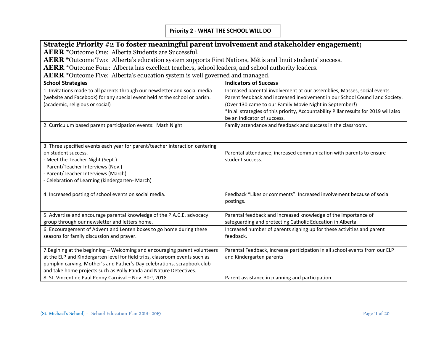#### **Priority 2 - WHAT THE SCHOOL WILL DO**

# **Strategic Priority #2 To foster meaningful parent involvement and stakeholder engagement;**

**AERR \***Outcome One: Alberta Students are Successful.

**AERR \***Outcome Two: Alberta's education system supports First Nations, Métis and Inuit students' success.

**AERR \***Outcome Four: Alberta has excellent teachers, school leaders, and school authority leaders.

**AERR \***Outcome Five: Alberta's education system is well governed and managed.

| <b>School Strategies</b>                                                     | <b>Indicators of Success</b>                                                          |
|------------------------------------------------------------------------------|---------------------------------------------------------------------------------------|
| 1. Invitations made to all parents through our newsletter and social media   | Increased parental involvement at our assemblies, Masses, social events.              |
| (website and Facebook) for any special event held at the school or parish.   | Parent feedback and increased involvement in our School Council and Society.          |
| (academic, religious or social)                                              | (Over 130 came to our Family Movie Night in September!)                               |
|                                                                              | *In all strategies of this priority, Accountability Pillar results for 2019 will also |
|                                                                              | be an indicator of success.                                                           |
| 2. Curriculum based parent participation events: Math Night                  | Family attendance and feedback and success in the classroom.                          |
|                                                                              |                                                                                       |
| 3. Three specified events each year for parent/teacher interaction centering |                                                                                       |
| on student success.                                                          | Parental attendance, increased communication with parents to ensure                   |
| - Meet the Teacher Night (Sept.)                                             | student success.                                                                      |
| - Parent/Teacher Interviews (Nov.)                                           |                                                                                       |
| - Parent/Teacher Interviews (March)                                          |                                                                                       |
| - Celebration of Learning (kindergarten-March)                               |                                                                                       |
|                                                                              |                                                                                       |
| 4. Increased posting of school events on social media.                       | Feedback "Likes or comments". Increased involvement because of social                 |
|                                                                              | postings.                                                                             |
|                                                                              |                                                                                       |
| 5. Advertise and encourage parental knowledge of the P.A.C.E. advocacy       | Parental feedback and increased knowledge of the importance of                        |
| group through our newsletter and letters home.                               | safeguarding and protecting Catholic Education in Alberta.                            |
| 6. Encouragement of Advent and Lenten boxes to go home during these          | Increased number of parents signing up for these activities and parent                |
| seasons for family discussion and prayer.                                    | feedback.                                                                             |
|                                                                              |                                                                                       |
| 7. Begining at the beginning - Welcoming and encouraging parent volunteers   | Parental Feedback, increase participation in all school events from our ELP           |
| at the ELP and Kindergarten level for field trips, classroom events such as  | and Kindergarten parents                                                              |
| pumpkin carving, Mother's and Father's Day celebrations, scrapbook club      |                                                                                       |
| and take home projects such as Polly Panda and Nature Detectives.            |                                                                                       |
| 8. St. Vincent de Paul Penny Carnival - Nov. 30th, 2018                      | Parent assistance in planning and participation.                                      |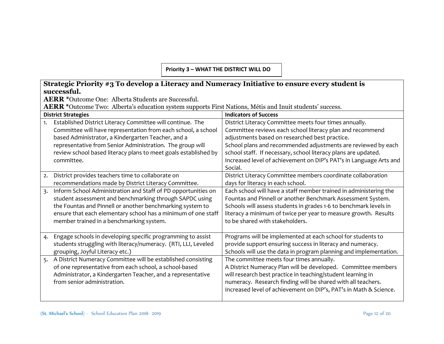**Priority 3 – WHAT THE DISTRICT WILL DO**

|                                                                                                          | Strategic Priority #3 To develop a Literacy and Numeracy Initiative to ensure every student is |                                                                    |  |  |  |  |  |  |
|----------------------------------------------------------------------------------------------------------|------------------------------------------------------------------------------------------------|--------------------------------------------------------------------|--|--|--|--|--|--|
| successful.                                                                                              |                                                                                                |                                                                    |  |  |  |  |  |  |
| <b>AERR</b> *Outcome One: Alberta Students are Successful.                                               |                                                                                                |                                                                    |  |  |  |  |  |  |
| AERR *Outcome Two: Alberta's education system supports First Nations, Métis and Inuit students' success. |                                                                                                |                                                                    |  |  |  |  |  |  |
| <b>District Strategies</b>                                                                               |                                                                                                | <b>Indicators of Success</b>                                       |  |  |  |  |  |  |
| 1.                                                                                                       | Established District Literacy Committee will continue. The                                     | District Literacy Committee meets four times annually.             |  |  |  |  |  |  |
|                                                                                                          | Committee will have representation from each school, a school                                  | Committee reviews each school literacy plan and recommend          |  |  |  |  |  |  |
|                                                                                                          | based Administrator, a Kindergarten Teacher, and a                                             | adjustments based on researched best practice.                     |  |  |  |  |  |  |
|                                                                                                          | representative from Senior Administration. The group will                                      | School plans and recommended adjustments are reviewed by each      |  |  |  |  |  |  |
|                                                                                                          | review school based literacy plans to meet goals established by                                | school staff. If necessary, school literacy plans are updated.     |  |  |  |  |  |  |
| committee.                                                                                               |                                                                                                | Increased level of achievement on DIP's PAT's in Language Arts and |  |  |  |  |  |  |
|                                                                                                          |                                                                                                | Social.                                                            |  |  |  |  |  |  |
| 2.                                                                                                       | District provides teachers time to collaborate on                                              | District Literacy Committee members coordinate collaboration       |  |  |  |  |  |  |
|                                                                                                          | recommendations made by District Literacy Committee.                                           | days for literacy in each school.                                  |  |  |  |  |  |  |
| $\overline{3}$ .                                                                                         | Inform School Administration and Staff of PD opportunities on                                  | Each school will have a staff member trained in administering the  |  |  |  |  |  |  |
|                                                                                                          | student assessment and benchmarking through SAPDC using                                        | Fountas and Pinnell or another Benchmark Assessment System.        |  |  |  |  |  |  |
|                                                                                                          | the Fountas and Pinnell or another benchmarking system to                                      | Schools will assess students in grades 1-6 to benchmark levels in  |  |  |  |  |  |  |
|                                                                                                          | ensure that each elementary school has a minimum of one staff                                  | literacy a minimum of twice per year to measure growth. Results    |  |  |  |  |  |  |
|                                                                                                          | member trained in a benchmarking system.                                                       | to be shared with stakeholders.                                    |  |  |  |  |  |  |
|                                                                                                          |                                                                                                |                                                                    |  |  |  |  |  |  |
| 4.                                                                                                       | Engage schools in developing specific programming to assist                                    | Programs will be implemented at each school for students to        |  |  |  |  |  |  |
|                                                                                                          | students struggling with literacy/numeracy. (RTI, LLI, Leveled                                 | provide support ensuring success in literacy and numeracy.         |  |  |  |  |  |  |
|                                                                                                          | grouping, Joyful Literacy etc.)                                                                | Schools will use the data in program planning and implementation.  |  |  |  |  |  |  |
| 5.                                                                                                       | A District Numeracy Committee will be established consisting                                   | The committee meets four times annually.                           |  |  |  |  |  |  |
|                                                                                                          | of one representative from each school, a school-based                                         | A District Numeracy Plan will be developed. Committee members      |  |  |  |  |  |  |
|                                                                                                          | Administrator, a Kindergarten Teacher, and a representative                                    | will research best practice in teaching/student learning in        |  |  |  |  |  |  |
|                                                                                                          | from senior administration.                                                                    | numeracy. Research finding will be shared with all teachers.       |  |  |  |  |  |  |
|                                                                                                          |                                                                                                | Increased level of achievement on DIP's, PAT's in Math & Science.  |  |  |  |  |  |  |
|                                                                                                          |                                                                                                |                                                                    |  |  |  |  |  |  |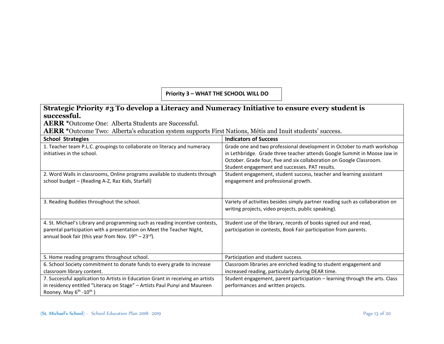#### **Priority 3 – WHAT THE SCHOOL WILL DO**

#### **Strategic Priority #3 To develop a Literacy and Numeracy Initiative to ensure every student is successful.**

**AERR \***Outcome One: Alberta Students are Successful.

**AERR \***Outcome Two: Alberta's education system supports First Nations, Métis and Inuit students' success.

| <b>School Strategies</b>                                                                                                                                                                                                              | <b>Indicators of Success</b>                                                                                                                                                                                                                                                 |
|---------------------------------------------------------------------------------------------------------------------------------------------------------------------------------------------------------------------------------------|------------------------------------------------------------------------------------------------------------------------------------------------------------------------------------------------------------------------------------------------------------------------------|
| 1. Teacher team P.L.C. groupings to collaborate on literacy and numeracy<br>initiatives in the school.                                                                                                                                | Grade one and two professional development in October to math workshop<br>in Lethbridge. Grade three teacher attends Google Summit in Moose Jaw in<br>October. Grade four, five and six collaboration on Google Classroom.<br>Student engagement and successes. PAT results. |
| 2. Word Walls in classrooms, Online programs available to students through<br>school budget - (Reading A-Z, Raz Kids, Starfall)                                                                                                       | Student engagement, student success, teacher and learning assistant<br>engagement and professional growth.                                                                                                                                                                   |
| 3. Reading Buddies throughout the school.                                                                                                                                                                                             | Variety of activities besides simply partner reading such as collaboration on<br>writing projects, video projects, public speaking).                                                                                                                                         |
| 4. St. Michael's Library and programming such as reading incentive contests,<br>parental participation with a presentation on Meet the Teacher Night,<br>annual book fair (this year from Nov. 19 <sup>th</sup> – 23 <sup>rd</sup> ). | Student use of the library, records of books signed out and read,<br>participation in contests, Book Fair participation from parents.                                                                                                                                        |
| 5. Home reading programs throughout school.                                                                                                                                                                                           | Participation and student success.                                                                                                                                                                                                                                           |
| 6. School Society commitment to donate funds to every grade to increase<br>classroom library content.                                                                                                                                 | Classroom libraries are enriched leading to student engagement and<br>increased reading, particularly during DEAR time.                                                                                                                                                      |
| 7. Successful application to Artists in Education Grant in receiving an artists<br>in residency entitled "Literacy on Stage" - Artists Paul Punyi and Maureen<br>Rooney. May $6^{th}$ -10 <sup>th</sup> )                             | Student engagement, parent participation - learning through the arts. Class<br>performances and written projects.                                                                                                                                                            |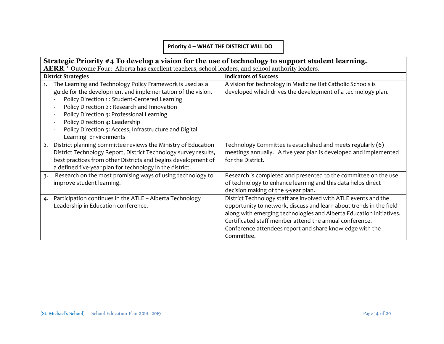#### **Priority 4 – WHAT THE DISTRICT WILL DO**

|                  | Strategic Priority #4 To develop a vision for the use of technology to support student learning.                                                                                                                                                                                                                                                                                           |                                                                                                                                                                                                                                                                                                                                                    |  |  |  |  |  |  |
|------------------|--------------------------------------------------------------------------------------------------------------------------------------------------------------------------------------------------------------------------------------------------------------------------------------------------------------------------------------------------------------------------------------------|----------------------------------------------------------------------------------------------------------------------------------------------------------------------------------------------------------------------------------------------------------------------------------------------------------------------------------------------------|--|--|--|--|--|--|
|                  | <b>AERR</b> * Outcome Four: Alberta has excellent teachers, school leaders, and school authority leaders.                                                                                                                                                                                                                                                                                  |                                                                                                                                                                                                                                                                                                                                                    |  |  |  |  |  |  |
|                  | <b>District Strategies</b>                                                                                                                                                                                                                                                                                                                                                                 | <b>Indicators of Success</b>                                                                                                                                                                                                                                                                                                                       |  |  |  |  |  |  |
| 1.               | The Learning and Technology Policy Framework is used as a<br>guide for the development and implementation of the vision.<br>Policy Direction 1: Student-Centered Learning<br>Policy Direction 2: Research and Innovation<br>Policy Direction 3: Professional Learning<br>Policy Direction 4: Leadership<br>Policy Direction 5: Access, Infrastructure and Digital<br>Learning Environments | A vision for technology in Medicine Hat Catholic Schools is<br>developed which drives the development of a technology plan.                                                                                                                                                                                                                        |  |  |  |  |  |  |
| 2.               | District planning committee reviews the Ministry of Education<br>District Technology Report, District Technology survey results,<br>best practices from other Districts and begins development of<br>a defined five-year plan for technology in the district.                                                                                                                              | Technology Committee is established and meets regularly (6)<br>meetings annually. A five year plan is developed and implemented<br>for the District.                                                                                                                                                                                               |  |  |  |  |  |  |
| $\overline{3}$ . | Research on the most promising ways of using technology to<br>improve student learning.                                                                                                                                                                                                                                                                                                    | Research is completed and presented to the committee on the use<br>of technology to enhance learning and this data helps direct<br>decision making of the 5-year plan.                                                                                                                                                                             |  |  |  |  |  |  |
| 4.               | Participation continues in the ATLE - Alberta Technology<br>Leadership in Education conference.                                                                                                                                                                                                                                                                                            | District Technology staff are involved with ATLE events and the<br>opportunity to network, discuss and learn about trends in the field<br>along with emerging technologies and Alberta Education initiatives.<br>Certificated staff member attend the annual conference.<br>Conference attendees report and share knowledge with the<br>Committee. |  |  |  |  |  |  |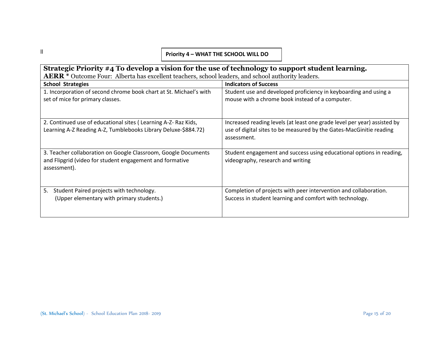#### **Priority 4 – WHAT THE SCHOOL WILL DO**

| Strategic Priority #4 To develop a vision for the use of technology to support student learning.                                           |                                                                                                                                                                |  |  |  |  |  |  |
|--------------------------------------------------------------------------------------------------------------------------------------------|----------------------------------------------------------------------------------------------------------------------------------------------------------------|--|--|--|--|--|--|
| AERR <sup>*</sup> Outcome Four: Alberta has excellent teachers, school leaders, and school authority leaders.                              |                                                                                                                                                                |  |  |  |  |  |  |
| <b>School Strategies</b>                                                                                                                   | <b>Indicators of Success</b>                                                                                                                                   |  |  |  |  |  |  |
| 1. Incorporation of second chrome book chart at St. Michael's with<br>set of mice for primary classes.                                     | Student use and developed proficiency in keyboarding and using a<br>mouse with a chrome book instead of a computer.                                            |  |  |  |  |  |  |
| 2. Continued use of educational sites (Learning A-Z- Raz Kids,<br>Learning A-Z Reading A-Z, Tumblebooks Library Deluxe-\$884.72)           | Increased reading levels (at least one grade level per year) assisted by<br>use of digital sites to be measured by the Gates-MacGinitie reading<br>assessment. |  |  |  |  |  |  |
| 3. Teacher collaboration on Google Classroom, Google Documents<br>and Flipgrid (video for student engagement and formative<br>assessment). | Student engagement and success using educational options in reading,<br>videography, research and writing                                                      |  |  |  |  |  |  |
| Student Paired projects with technology.<br>5.<br>(Upper elementary with primary students.)                                                | Completion of projects with peer intervention and collaboration.<br>Success in student learning and comfort with technology.                                   |  |  |  |  |  |  |

ll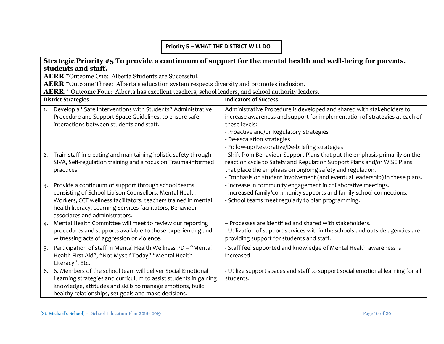#### **Priority 5 – WHAT THE DISTRICT WILL DO**

| Strategic Priority #5 To provide a continuum of support for the mental health and well-being for parents,                              |                                                                                                                                                        |  |  |  |  |  |  |
|----------------------------------------------------------------------------------------------------------------------------------------|--------------------------------------------------------------------------------------------------------------------------------------------------------|--|--|--|--|--|--|
| students and staff.                                                                                                                    |                                                                                                                                                        |  |  |  |  |  |  |
| <b>AERR</b> *Outcome One: Alberta Students are Successful.                                                                             |                                                                                                                                                        |  |  |  |  |  |  |
| AERR *Outcome Three: Alberta's education system respects diversity and promotes inclusion.                                             |                                                                                                                                                        |  |  |  |  |  |  |
| AERR * Outcome Four: Alberta has excellent teachers, school leaders, and school authority leaders.                                     |                                                                                                                                                        |  |  |  |  |  |  |
| <b>District Strategies</b>                                                                                                             | <b>Indicators of Success</b>                                                                                                                           |  |  |  |  |  |  |
| Develop a "Safe Interventions with Students" Administrative<br>1.                                                                      | Administrative Procedure is developed and shared with stakeholders to                                                                                  |  |  |  |  |  |  |
| Procedure and Support Space Guidelines, to ensure safe                                                                                 | increase awareness and support for implementation of strategies at each of                                                                             |  |  |  |  |  |  |
| interactions between students and staff.                                                                                               | these levels:                                                                                                                                          |  |  |  |  |  |  |
|                                                                                                                                        | - Proactive and/or Regulatory Strategies                                                                                                               |  |  |  |  |  |  |
|                                                                                                                                        | - De-escalation strategies                                                                                                                             |  |  |  |  |  |  |
|                                                                                                                                        | - Follow-up/Restorative/De-briefing strategies                                                                                                         |  |  |  |  |  |  |
| Train staff in creating and maintaining holistic safety through<br>2.<br>SIVA, Self-regulation training and a focus on Trauma-informed | - Shift from Behaviour Support Plans that put the emphasis primarily on the<br>reaction cycle to Safety and Regulation Support Plans and/or WISE Plans |  |  |  |  |  |  |
| practices.                                                                                                                             | that place the emphasis on ongoing safety and regulation.                                                                                              |  |  |  |  |  |  |
|                                                                                                                                        | - Emphasis on student involvement (and eventual leadership) in these plans.                                                                            |  |  |  |  |  |  |
| Provide a continuum of support through school teams<br>3.                                                                              | - Increase in community engagement in collaborative meetings.                                                                                          |  |  |  |  |  |  |
| consisting of School Liaison Counsellors, Mental Health                                                                                | - Increased family/community supports and family-school connections.                                                                                   |  |  |  |  |  |  |
| Workers, CCT wellness facilitators, teachers trained in mental                                                                         | - School teams meet regularly to plan programming.                                                                                                     |  |  |  |  |  |  |
| health literacy, Learning Services facilitators, Behaviour                                                                             |                                                                                                                                                        |  |  |  |  |  |  |
| associates and administrators.                                                                                                         |                                                                                                                                                        |  |  |  |  |  |  |
| Mental Health Committee will meet to review our reporting<br>4.                                                                        | - Processes are identified and shared with stakeholders.                                                                                               |  |  |  |  |  |  |
| procedures and supports available to those experiencing and                                                                            | - Utilization of support services within the schools and outside agencies are                                                                          |  |  |  |  |  |  |
| witnessing acts of aggression or violence.                                                                                             | providing support for students and staff.                                                                                                              |  |  |  |  |  |  |
| Participation of staff in Mental Health Wellness PD - "Mental<br>5.                                                                    | - Staff feel supported and knowledge of Mental Health awareness is                                                                                     |  |  |  |  |  |  |
| Health First Aid", "Not Myself Today" "Mental Health                                                                                   | increased.                                                                                                                                             |  |  |  |  |  |  |
| Literacy". Etc.                                                                                                                        |                                                                                                                                                        |  |  |  |  |  |  |
| 6. 6. Members of the school team will deliver Social Emotional                                                                         | - Utilize support spaces and staff to support social emotional learning for all                                                                        |  |  |  |  |  |  |
| Learning strategies and curriculum to assist students in gaining                                                                       | students.                                                                                                                                              |  |  |  |  |  |  |
| knowledge, attitudes and skills to manage emotions, build                                                                              |                                                                                                                                                        |  |  |  |  |  |  |
| healthy relationships, set goals and make decisions.                                                                                   |                                                                                                                                                        |  |  |  |  |  |  |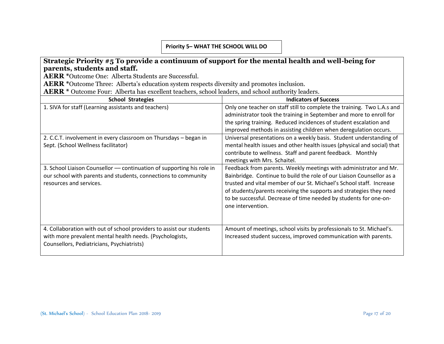#### **Priority 5– WHAT THE SCHOOL WILL DO**

#### **Strategic Priority #5 To provide a continuum of support for the mental health and well-being for parents, students and staff.**

**AERR \***Outcome One: Alberta Students are Successful.

**AERR \***Outcome Three: Alberta's education system respects diversity and promotes inclusion.

AERR \* Outcome Four: Alberta has excellent teachers, school leaders, and school authority leaders.

| <b>School Strategies</b>                                                                                                                                                       | <b>Indicators of Success</b>                                                                                                                                                                                                                                                                                                                                                        |
|--------------------------------------------------------------------------------------------------------------------------------------------------------------------------------|-------------------------------------------------------------------------------------------------------------------------------------------------------------------------------------------------------------------------------------------------------------------------------------------------------------------------------------------------------------------------------------|
| 1. SIVA for staff (Learning assistants and teachers)                                                                                                                           | Only one teacher on staff still to complete the training. Two L.A.s and<br>administrator took the training in September and more to enroll for<br>the spring training. Reduced incidences of student escalation and<br>improved methods in assisting children when deregulation occurs.                                                                                             |
| 2. C.C.T. involvement in every classroom on Thursdays - began in<br>Sept. (School Wellness facilitator)                                                                        | Universal presentations on a weekly basis. Student understanding of<br>mental health issues and other health issues (physical and social) that<br>contribute to wellness. Staff and parent feedback. Monthly<br>meetings with Mrs. Schaitel.                                                                                                                                        |
| 3. School Liaison Counsellor — continuation of supporting his role in<br>our school with parents and students, connections to community<br>resources and services.             | Feedback from parents. Weekly meetings with administrator and Mr.<br>Bainbridge. Continue to build the role of our Liaison Counsellor as a<br>trusted and vital member of our St. Michael's School staff. Increase<br>of students/parents receiving the supports and strategies they need<br>to be successful. Decrease of time needed by students for one-on-<br>one intervention. |
| 4. Collaboration with out of school providers to assist our students<br>with more prevalent mental health needs. (Psychologists,<br>Counsellors, Pediatricians, Psychiatrists) | Amount of meetings, school visits by professionals to St. Michael's.<br>Increased student success, improved communication with parents.                                                                                                                                                                                                                                             |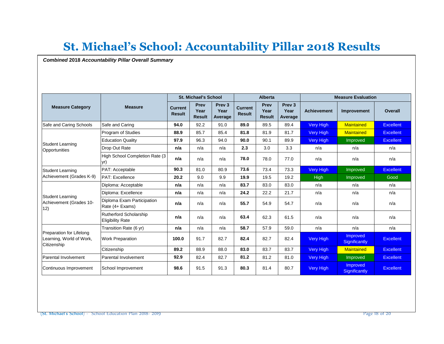# **St. Michael's School: Accountability Pillar 2018 Results**

*Combined* **2018** *Accountability Pillar Overall Summary*

|                                                                     |                                                   | <b>St. Michael's School</b>     |                               |                                      | <b>Alberta</b>                  |                               |                                      | <b>Measure Evaluation</b> |                           |                  |
|---------------------------------------------------------------------|---------------------------------------------------|---------------------------------|-------------------------------|--------------------------------------|---------------------------------|-------------------------------|--------------------------------------|---------------------------|---------------------------|------------------|
| <b>Measure Category</b>                                             | <b>Measure</b>                                    | <b>Current</b><br><b>Result</b> | Prev<br>Year<br><b>Result</b> | Prev <sub>3</sub><br>Year<br>Average | <b>Current</b><br><b>Result</b> | Prev<br>Year<br><b>Result</b> | Prev <sub>3</sub><br>Year<br>Average | <b>Achievement</b>        | Improvement               | Overall          |
| Safe and Caring Schools                                             | Safe and Caring                                   | 94.0                            | 92.2                          | 91.0                                 | 89.0                            | 89.5                          | 89.4                                 | Very High                 | <b>Maintained</b>         | <b>Excellent</b> |
|                                                                     | Program of Studies                                | 88.9                            | 85.7                          | 85.4                                 | 81.8                            | 81.9                          | 81.7                                 | Very High                 | <b>Maintained</b>         | <b>Excellent</b> |
| Student Learning                                                    | <b>Education Quality</b>                          | 97.9                            | 96.3                          | 94.0                                 | 90.0                            | 90.1                          | 89.9                                 | Very High                 | Improved                  | <b>Excellent</b> |
| Opportunities                                                       | Drop Out Rate                                     | n/a                             | n/a                           | n/a                                  | 2.3                             | 3.0                           | 3.3                                  | n/a                       | n/a                       | n/a              |
|                                                                     | High School Completion Rate (3)<br>vr)            | n/a                             | n/a                           | n/a                                  | 78.0                            | 78.0                          | 77.0                                 | n/a                       | n/a                       | n/a              |
| Student Learning                                                    | PAT: Acceptable                                   | 90.3                            | 81.0                          | 80.9                                 | 73.6                            | 73.4                          | 73.3                                 | <b>Very High</b>          | Improved                  | <b>Excellent</b> |
| Achievement (Grades K-9)                                            | PAT: Excellence                                   | 20.2                            | 9.0                           | 9.9                                  | 19.9                            | 19.5                          | 19.2                                 | High                      | Improved                  | Good             |
|                                                                     | Diploma: Acceptable                               | n/a                             | n/a                           | n/a                                  | 83.7                            | 83.0                          | 83.0                                 | n/a                       | n/a                       | n/a              |
| Student Learning                                                    | Diploma: Excellence                               | n/a                             | n/a                           | n/a                                  | 24.2                            | 22.2                          | 21.7                                 | n/a                       | n/a                       | n/a              |
| Achievement (Grades 10-<br>12)                                      | Diploma Exam Participation<br>Rate (4+ Exams)     | n/a                             | n/a                           | n/a                                  | 55.7                            | 54.9                          | 54.7                                 | n/a                       | n/a                       | n/a              |
|                                                                     | Rutherford Scholarship<br><b>Eligibility Rate</b> | n/a                             | n/a                           | n/a                                  | 63.4                            | 62.3                          | 61.5                                 | n/a                       | n/a                       | n/a              |
|                                                                     | Transition Rate (6 yr)                            | n/a                             | n/a                           | n/a                                  | 58.7                            | 57.9                          | 59.0                                 | n/a                       | n/a                       | n/a              |
| Preparation for Lifelong<br>Learning, World of Work,<br>Citizenship | <b>Work Preparation</b>                           | 100.0                           | 91.7                          | 82.7                                 | 82.4                            | 82.7                          | 82.4                                 | Very High                 | Improved<br>Significantly | <b>Excellent</b> |
|                                                                     | Citizenship                                       | 89.2                            | 88.9                          | 88.0                                 | 83.0                            | 83.7                          | 83.7                                 | Very High                 | <b>Maintained</b>         | <b>Excellent</b> |
| Parental Involvement                                                | Parental Involvement                              | 92.9                            | 82.4                          | 82.7                                 | 81.2                            | 81.2                          | 81.0                                 | Very High                 | Improved                  | <b>Excellent</b> |
| Continuous Improvement                                              | School Improvement                                | 98.6                            | 91.5                          | 91.3                                 | 80.3                            | 81.4                          | 80.7                                 | Very High                 | Improved<br>Significantly | <b>Excellent</b> |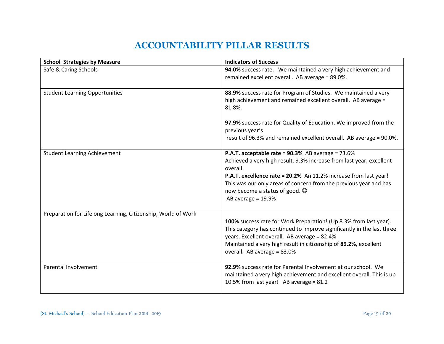# **ACCOUNTABILITY PILLAR RESULTS**

| <b>School Strategies by Measure</b>                           | <b>Indicators of Success</b>                                                                                                                                                                                                                                                                                                                   |
|---------------------------------------------------------------|------------------------------------------------------------------------------------------------------------------------------------------------------------------------------------------------------------------------------------------------------------------------------------------------------------------------------------------------|
| Safe & Caring Schools                                         | 94.0% success rate. We maintained a very high achievement and<br>remained excellent overall. AB average = 89.0%.                                                                                                                                                                                                                               |
| <b>Student Learning Opportunities</b>                         | 88.9% success rate for Program of Studies. We maintained a very<br>high achievement and remained excellent overall. AB average =<br>81.8%.                                                                                                                                                                                                     |
|                                                               | 97.9% success rate for Quality of Education. We improved from the<br>previous year's<br>result of 96.3% and remained excellent overall. AB average = 90.0%.                                                                                                                                                                                    |
| <b>Student Learning Achievement</b>                           | P.A.T. acceptable rate = 90.3% AB average = 73.6%<br>Achieved a very high result, 9.3% increase from last year, excellent<br>overall.<br>P.A.T. excellence rate = 20.2% An 11.2% increase from last year!<br>This was our only areas of concern from the previous year and has<br>now become a status of good. $\odot$<br>AB average $= 19.9%$ |
| Preparation for Lifelong Learning, Citizenship, World of Work | 100% success rate for Work Preparation! (Up 8.3% from last year).<br>This category has continued to improve significantly in the last three<br>years. Excellent overall. AB average = 82.4%<br>Maintained a very high result in citizenship of 89.2%, excellent<br>overall. AB average = 83.0%                                                 |
| Parental Involvement                                          | 92.9% success rate for Parental Involvement at our school. We<br>maintained a very high achievement and excellent overall. This is up<br>10.5% from last year! AB average = $81.2$                                                                                                                                                             |